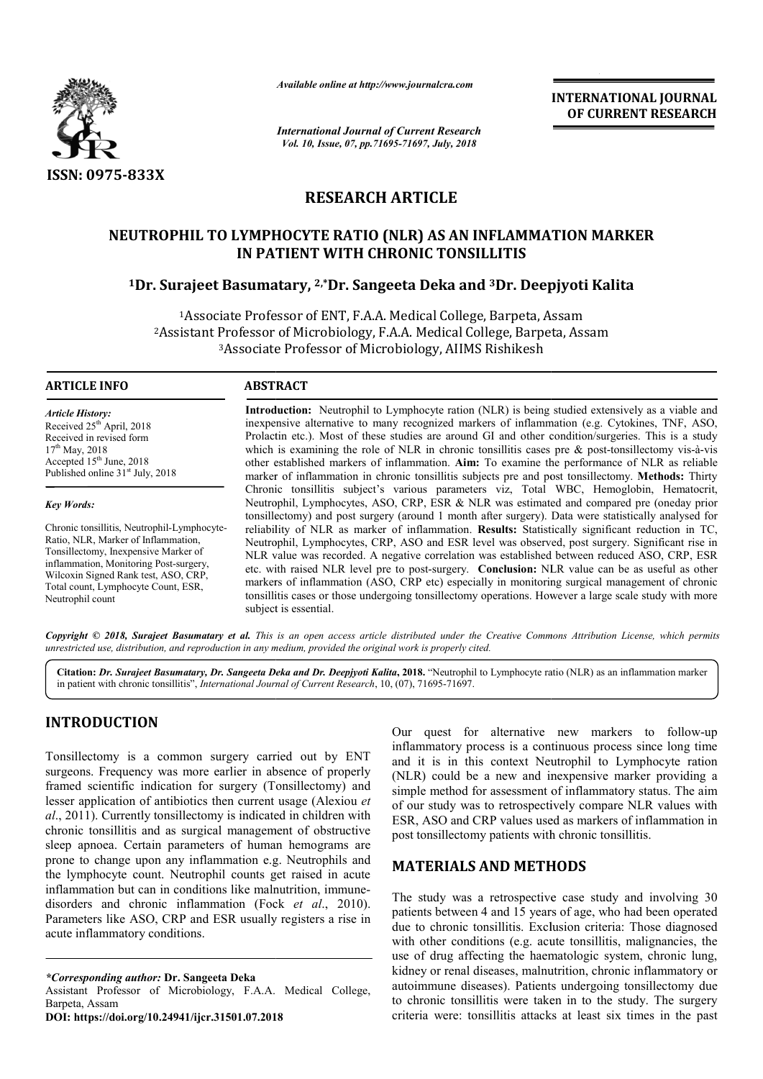

*Available online at http://www.journalcra.com*

*International Journal of Current Research Vol. 10, Issue, 07, pp.71695-71697, July, 2018*

**INTERNATIONAL JOURNAL OF CURRENT RESEARCH**

# **RESEARCH ARTICLE**

# NEUTROPHIL TO LYMPHOCYTE RATIO (NLR) AS AN INFLAMMATION MARKER<br>IN PATIENT WITH CHRONIC TONSILLITIS<br><sup>1</sup>Dr. Surajeet Basumatary, <sup>2,\*</sup>Dr. Sangeeta Deka and <sup>3</sup>Dr. Deepjyoti Kalita **IN PATIENT WITH CHRONIC TONSILLITIS**

# <sup>1</sup>Dr. Surajeet Basumatary, <sup>2,</sup>\*Dr. Sangeeta Deka and <sup>3</sup>Dr. Deepjyoti Kalita

1Associate Professor of ENT, F.A.A. Medical College, Barpeta, Assam 2Assistant Professor of Microbiology, F.A.A. Medical College, Barpeta, Assam 3Associate Professor of Microbiology, AIIMS Rishikesh <sup>1</sup>Associate Professor of ENT, F.A.A. Medical College, Barpeta, Assa<br>Assistant Professor of Microbiology, F.A.A. Medical College, Barpeta,<br><sup>3</sup>Associate Professor of Microbiology, AIIMS Rishikesh

#### **ARTICLE INFO ABSTRACT**

*Article History:* Received 25<sup>th</sup> April, 2018 Received in revised form  $17<sup>th</sup>$  May, 2018 Accepted  $15<sup>th</sup>$  June, 2018 Published online  $31<sup>st</sup>$  July, 2018

#### *Key Words:*

Chronic tonsillitis, Neutrophil-Lymphocyte-Ratio, NLR, Marker of Inflammation, Tonsillectomy, Inexpensive Marker of inflammation, Monitoring Post-surgery, Wilcoxin Signed Rank test, ASO, CRP, Total count, Lymphocyte Count, ESR, Neutrophil count

**Introduction:** Neutrophil to Lymphocyte ration (NLR) is being studied extensively as a viable and inexpensive alternative to many recognized markers of inflammation (e.g. Cytokines, TNF, ASO, Introduction: Neutrophil to Lymphocyte ration (NLR) is being studied extensively as a viable and inexpensive alternative to many recognized markers of inflammation (e.g. Cytokines, TNF, ASO, Prolactin etc.). Most of these which is examining the role of NLR in chronic tonsillitis cases pre  $\&$  post-tonsillectomy vis-à-vis other established markers of inflammation. **Aim:** To examine the performance of NLR as reliable marker of inflammation in chronic tonsillitis subjects pre and post tonsillectomy. Methods: Thirty Chronic tonsillitis subject's various parameters viz, Total WBC, Hemoglobin, Hematocrit, Neutrophil, Lymphocytes, ASO, CRP, ESR & NLR was estimated and compared pre (oneday prior tonsillect tonsillectomy) and post surgery (around 1 month after surgery). Data were statistically analysed for reliability of NLR as marker of inflammation. **Results:** Statistically significant reduction in TC, Neutrophil, Lymphocytes, CRP, ASO and ESR level was observed, post surgery. Significant rise in NLR value was recorded. A negative correlation was established between reduced ASO, CRP, ESR etc. with raised NLR level pre to post-surgery. **Conclusion:** NLR value can be as useful as other markers of inflammation (ASO, CRP etc) especially in monitoring surgical management of chronic NLR value was recorded. A negative correlation was established between reduced ASO, CRP, ESR etc. with raised NLR level pre to post-surgery. **Conclusion:** NLR value can be as useful as other markers of inflammation (ASO, C subject is essential. Chronic tonsillitis subject's various parameters viz, Total WBC, Hemoglobin, Hematocrit, Neutrophil, Lymphocytes, ASO, CRP, ESR & NLR was estimated and compared pre (oneday prior tonsillectomy) and post surgery (around 1 m INTERNATIONAL JOURNAL<br>
Search<br>
For CURRENT RESEARCH<br>
2018<br>
Search<br>
2018<br>
2018<br>
E<br>
E<br>
E<br>
BAN INFLAMMATION MARKER<br>
DISILITITS<br>
and <sup>3</sup>Dr. Deepiyoti Kalita<br>
and College, Barpeta, Assam<br>
and College, Barpeta, Assam<br>
and Colleg

Copyright © 2018, Surajeet Basumatary et al. This is an open access article distributed under the Creative Commons Attribution License, which permits *unrestricted use, distribution, and reproduction in any medium, provided the original work is properly cited.*

Citation: Dr. Surajeet Basumatary, Dr. Sangeeta Deka and Dr. Deepjyoti Kalita, 2018. "Neutrophil to Lymphocyte ratio (NLR) as an inflammation marker in patient with chronic tonsillitis", *International Journal of Current Research* , 10, (07), 71695-71697.

# **INTRODUCTION**

Tonsillectomy is a common surgery carried out by ENT surgeons. Frequency was more earlier in absence of properly framed scientific indication for surgery (Tonsillectomy) and lesser application of antibiotics then current usage (Alexiou *et al*., 2011). Currently tonsillectomy is indicated in children with chronic tonsillitis and as surgical management of obstructive sleep apnoea. Certain parameters of human hemograms are prone to change upon any inflammation e.g. Neutrophils and the lymphocyte count. Neutrophil counts get raised in acute inflammation but can in conditions like malnutrition, immune disorders and chronic inflammation (Fock *et al.*, 2010). Parameters like ASO, CRP and ESR usually registers a rise in acute inflammatory conditions. . Currently tonsillectomy is indicated in children with pnsillitis and as surgical management of obstructive noea. Certain parameters of human hemograms are change upon any inflammation e.g. Neutrophils and hocyte count. N

**DOI: https://doi.org/10.24941/ijcr.31501.07.2018**

inflammatory process is a continuous process since long time and it is in this context Neutrophil to Lymphocyte ration (NLR) could be a new and inexpensive marker providing a simple method for assessment of inflammatory status. The aim of our study was to retrospectively compare NLR values with of our study was to retrospectively compare NLR values with ESR, ASO and CRP values used as markers of inflammation in post tonsillectomy patients with chronic tonsillitis. Our quest for alternative new markers to follow-up process is a continuous process since long time<br>this context Neutrophil to Lymphocyte ration<br>be a new and inexpensive marker providing a

## **MATERIALS AND METHODS METHODS**

Our quest for alternative new markers to follow<br>
imflammatory process is a continuous process ince and<br>
if it is in this context Neutrophil to Lymphocyte rat<br>
er in absence of properly<br>
(NLR) could be a new and inexpensive The study was a retrospective case study and involving 30 The study was a retrospective case study and involving 30 patients between 4 and 15 years of age, who had been operated due to chronic tonsillitis. Exclusion criteria: Those diagnosed with other conditions (e.g. acute tonsillitis, malignancies, the use of drug affecting the haematologic system, chronic lung, with other conditions (e.g. acute tonsillitis, malignancies, the use of drug affecting the haematologic system, chronic lung, kidney or renal diseases, malnutrition, chronic inflammatory or autoimmune diseases). Patients undergoi Patients undergoing tonsillectomy due to chronic tonsillitis were taken in to the study. The surgery criteria were: tonsillitis attacks at least six times in the past

*<sup>\*</sup>Corresponding author:* **Dr. Sangeeta Deka** 

Assistant Professor of Microbiology, F.A.A. Medical College, Barpeta, Assam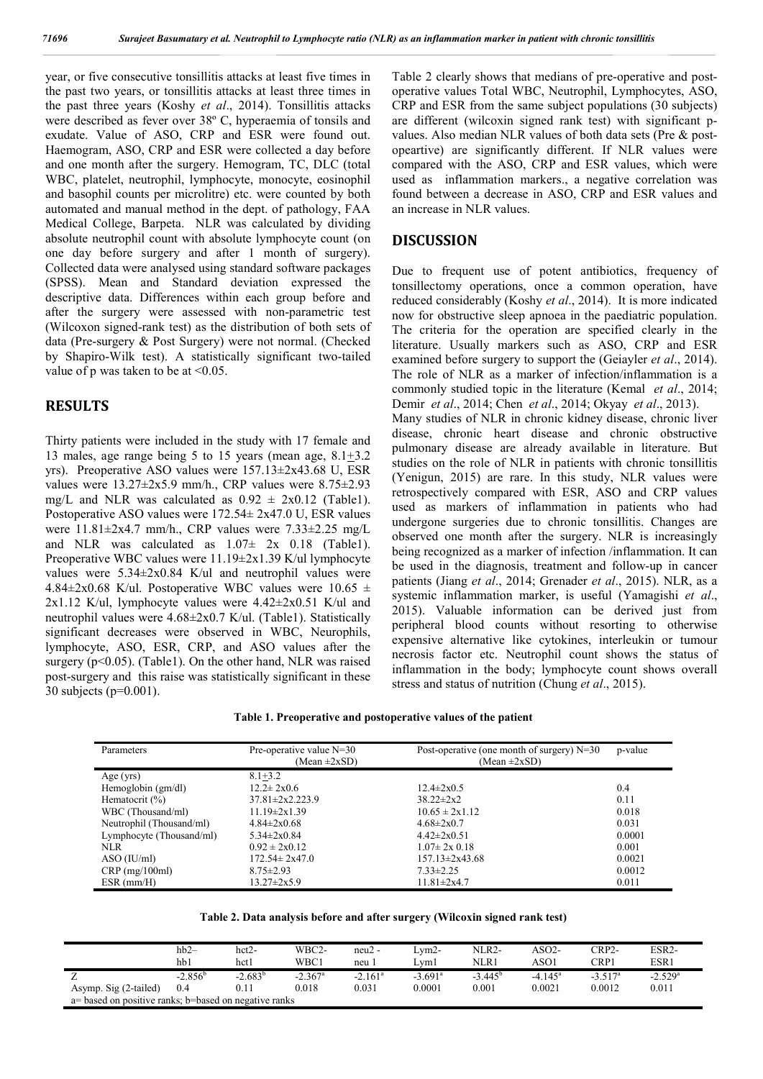year, or five consecutive tonsillitis attacks at least five times in the past two years, or tonsillitis attacks at least three times in the past three years (Koshy *et al*., 2014). Tonsillitis attacks were described as fever over 38º C, hyperaemia of tonsils and exudate. Value of ASO, CRP and ESR were found out. Haemogram, ASO, CRP and ESR were collected a day before and one month after the surgery. Hemogram, TC, DLC (total WBC, platelet, neutrophil, lymphocyte, monocyte, eosinophil and basophil counts per microlitre) etc. were counted by both automated and manual method in the dept. of pathology, FAA Medical College, Barpeta. NLR was calculated by dividing absolute neutrophil count with absolute lymphocyte count (on one day before surgery and after 1 month of surgery). Collected data were analysed using standard software packages (SPSS). Mean and Standard deviation expressed the descriptive data. Differences within each group before and after the surgery were assessed with non-parametric test (Wilcoxon signed-rank test) as the distribution of both sets of data (Pre-surgery & Post Surgery) were not normal. (Checked by Shapiro-Wilk test). A statistically significant two-tailed value of p was taken to be at <0.05.

## **RESULTS**

Thirty patients were included in the study with 17 female and 13 males, age range being 5 to 15 years (mean age,  $8.1 \pm 3.2$ ) yrs). Preoperative ASO values were 157.13±2x43.68 U, ESR values were  $13.27\pm 2x5.9$  mm/h., CRP values were  $8.75\pm 2.93$ mg/L and NLR was calculated as  $0.92 \pm 2x0.12$  (Table1). Postoperative ASO values were 172.54± 2x47.0 U, ESR values were  $11.81 \pm 2x4.7$  mm/h., CRP values were  $7.33 \pm 2.25$  mg/L and NLR was calculated as  $1.07 \pm 2x$  0.18 (Table1). Preoperative WBC values were 11.19±2x1.39 K/ul lymphocyte values were 5.34±2x0.84 K/ul and neutrophil values were 4.84 $\pm$ 2x0.68 K/ul. Postoperative WBC values were 10.65  $\pm$  $2x1.12$  K/ul, lymphocyte values were  $4.42 \pm 2x0.51$  K/ul and neutrophil values were 4.68±2x0.7 K/ul. (Table1). Statistically significant decreases were observed in WBC, Neurophils, lymphocyte, ASO, ESR, CRP, and ASO values after the surgery ( $p<0.05$ ). (Table1). On the other hand, NLR was raised post-surgery and this raise was statistically significant in these 30 subjects (p=0.001).

Table 2 clearly shows that medians of pre-operative and postoperative values Total WBC, Neutrophil, Lymphocytes, ASO, CRP and ESR from the same subject populations (30 subjects) are different (wilcoxin signed rank test) with significant pvalues. Also median NLR values of both data sets (Pre & postopeartive) are significantly different. If NLR values were compared with the ASO, CRP and ESR values, which were used as inflammation markers., a negative correlation was found between a decrease in ASO, CRP and ESR values and an increase in NLR values.

#### **DISCUSSION**

Due to frequent use of potent antibiotics, frequency of tonsillectomy operations, once a common operation, have reduced considerably (Koshy *et al*., 2014). It is more indicated now for obstructive sleep apnoea in the paediatric population. The criteria for the operation are specified clearly in the literature. Usually markers such as ASO, CRP and ESR examined before surgery to support the (Geiayler *et al*., 2014). The role of NLR as a marker of infection/inflammation is a commonly studied topic in the literature (Kemal *et al*., 2014; Demir *et al*., 2014; Chen *et al*., 2014; Okyay *et al*., 2013). Many studies of NLR in chronic kidney disease, chronic liver disease, chronic heart disease and chronic obstructive pulmonary disease are already available in literature. But studies on the role of NLR in patients with chronic tonsillitis (Yenigun, 2015) are rare. In this study, NLR values were retrospectively compared with ESR, ASO and CRP values used as markers of inflammation in patients who had undergone surgeries due to chronic tonsillitis. Changes are observed one month after the surgery. NLR is increasingly being recognized as a marker of infection /inflammation. It can be used in the diagnosis, treatment and follow-up in cancer patients (Jiang *et al*., 2014; Grenader *et al*., 2015). NLR, as a systemic inflammation marker, is useful (Yamagishi *et al*., 2015). Valuable information can be derived just from peripheral blood counts without resorting to otherwise expensive alternative like cytokines, interleukin or tumour necrosis factor etc. Neutrophil count shows the status of inflammation in the body; lymphocyte count shows overall stress and status of nutrition (Chung *et al*., 2015).

| Table 1. Preoperative and postoperative values of the patient |  |  |  |  |
|---------------------------------------------------------------|--|--|--|--|
|---------------------------------------------------------------|--|--|--|--|

| Parameters               | Pre-operative value $N=30$ | Post-operative (one month of surgery) $N=30$ | p-value |
|--------------------------|----------------------------|----------------------------------------------|---------|
|                          | $(Mean \pm 2xSD)$          | $(Mean \pm 2xSD)$                            |         |
|                          |                            |                                              |         |
| Age $(yrs)$              | $8.1 + 3.2$                |                                              |         |
| Hemoglobin (gm/dl)       | $12.2 \pm 2x0.6$           | $12.4 \pm 2x0.5$                             | 0.4     |
| Hematocrit $(\% )$       | $37.81 \pm 2x2.223.9$      | $38.22 \pm 2x2$                              | 0.11    |
| WBC (Thousand/ml)        | $11.19 \pm 2x1.39$         | $10.65 \pm 2x1.12$                           | 0.018   |
| Neutrophil (Thousand/ml) | $4.84 \pm 2 \times 0.68$   | $4.68 \pm 2x0.7$                             | 0.031   |
| Lymphocyte (Thousand/ml) | $5.34 \pm 2x0.84$          | $4.42 \pm 2x0.51$                            | 0.0001  |
| NLR.                     | $0.92 \pm 2x0.12$          | $1.07 \pm 2x$ 0.18                           | 0.001   |
| ASO (IU/ml)              | $172.54 \pm 2x47.0$        | $157.13 \pm 2x43.68$                         | 0.0021  |
| $CRP$ (mg/100ml)         | $8.75 \pm 2.93$            | $7.33 \pm 2.25$                              | 0.0012  |
| $ESR$ (mm/H)             | $13.27 \pm 2x5.9$          | $11.81 \pm 2x4.7$                            | 0.011   |

|                                                       | $hb2-$           | $hct2-$    | WBC2-                 | $neu2 -$              | Lym2-                 | NLR2-            | ASO2-            | $CRP2-$          | ESR2-                 |
|-------------------------------------------------------|------------------|------------|-----------------------|-----------------------|-----------------------|------------------|------------------|------------------|-----------------------|
|                                                       | hb1              | hct l      | WBC1                  | neu                   | Lvm1                  | NLR1             | ASO1             | CRP1             | ESR 1                 |
|                                                       | $-2.856^{\circ}$ | $-2.683^b$ | $-2.367$ <sup>a</sup> | $-2.161$ <sup>a</sup> | $-3.691$ <sup>a</sup> | $-3.445^{\rm b}$ | $-4.145^{\rm a}$ | $-3.517^{\circ}$ | $-2.529$ <sup>a</sup> |
| Asymp. Sig (2-tailed)                                 | 0.4              |            | 0.018                 | 0.031                 | 0.0001                | 0.001            | 0.0021           | 0.0012           | 0.011                 |
| a= based on positive ranks; b=based on negative ranks |                  |            |                       |                       |                       |                  |                  |                  |                       |